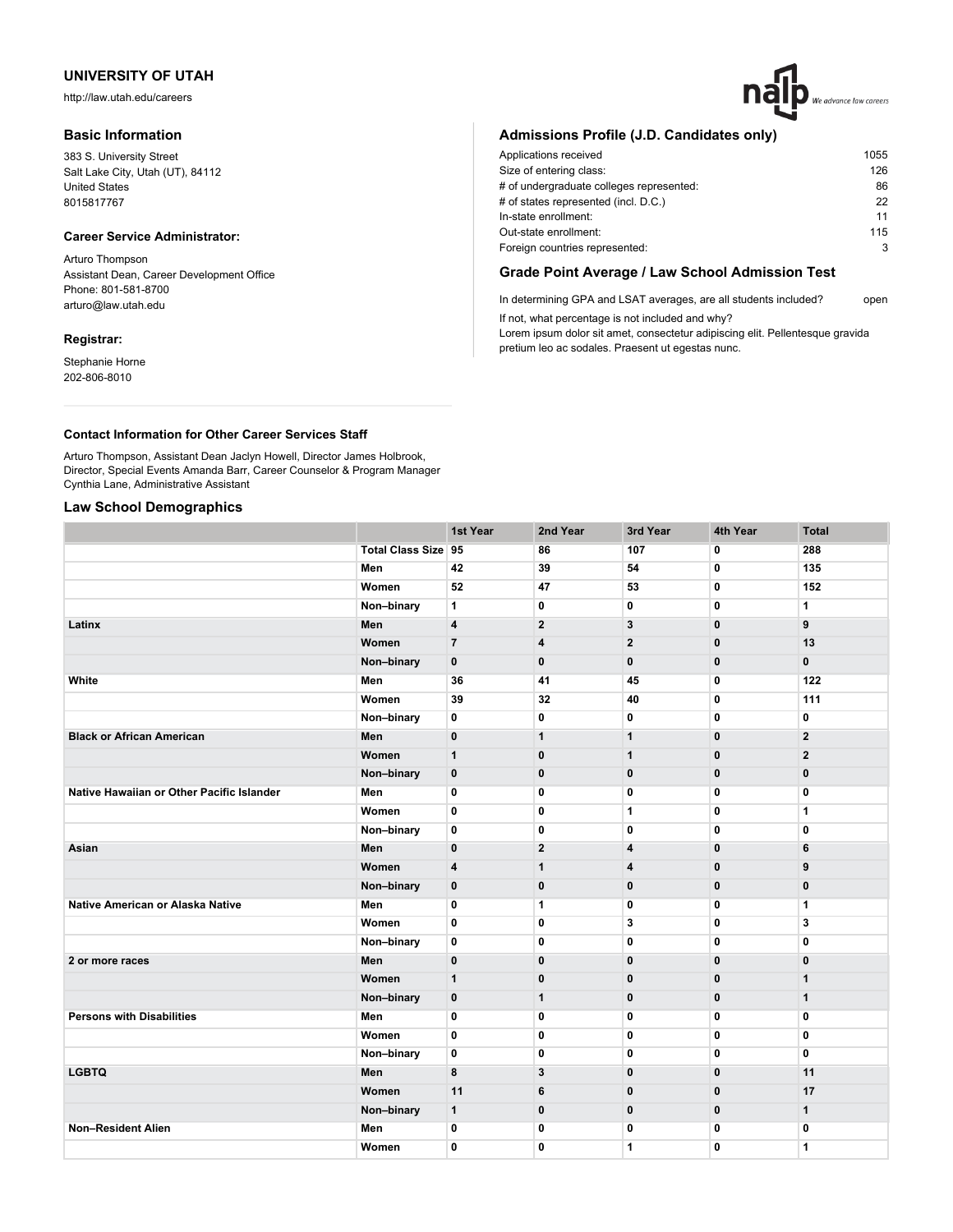http://law.utah.edu/careers

### **Basic Information**

383 S. University Street Salt Lake City, Utah (UT), 84112 United States 8015817767

#### **Career Service Administrator:**

Arturo Thompson Assistant Dean, Career Development Office Phone: 801-581-8700 arturo@law.utah.edu

#### **Registrar:**

Stephanie Horne 202-806-8010

# **Admissions Profile (J.D. Candidates only)**

| 1055 |
|------|
| 126  |
| 86   |
| 22   |
| 11   |
| 115  |
| 3    |
|      |

# **Grade Point Average / Law School Admission Test**

In determining GPA and LSAT averages, are all students included? open If not, what percentage is not included and why?

Lorem ipsum dolor sit amet, consectetur adipiscing elit. Pellentesque gravida pretium leo ac sodales. Praesent ut egestas nunc.

## **Contact Information for Other Career Services Staff**

Arturo Thompson, Assistant Dean Jaclyn Howell, Director James Holbrook, Director, Special Events Amanda Barr, Career Counselor & Program Manager Cynthia Lane, Administrative Assistant

#### **Law School Demographics**

|                                           |                            | 1st Year       | 2nd Year       | 3rd Year     | 4th Year       | <b>Total</b>            |
|-------------------------------------------|----------------------------|----------------|----------------|--------------|----------------|-------------------------|
|                                           | <b>Total Class Size 95</b> |                | 86             | 107          | $\overline{0}$ | 288                     |
|                                           | Men                        | 42             | 39             | 54           | 0              | 135                     |
|                                           | Women                      | 52             | 47             | 53           | 0              | 152                     |
|                                           | Non-binary                 | 1              | 0              | 0            | $\mathbf 0$    | 1                       |
| Latinx                                    | Men                        | 4              | $\mathbf{2}$   | 3            | $\mathbf 0$    | 9                       |
|                                           | Women                      | $\overline{7}$ | 4              | $\mathbf{2}$ | 0              | 13                      |
|                                           | Non-binary                 | $\mathbf 0$    | $\mathbf 0$    | $\mathbf 0$  | $\bf{0}$       | $\mathbf 0$             |
| White                                     | Men                        | 36             | 41             | 45           | $\mathbf 0$    | 122                     |
|                                           | Women                      | 39             | 32             | 40           | $\mathbf 0$    | 111                     |
|                                           | Non-binary                 | 0              | 0              | 0            | 0              | 0                       |
| <b>Black or African American</b>          | Men                        | $\bf{0}$       | $\mathbf{1}$   | $\mathbf{1}$ | $\bf{0}$       | $\overline{\mathbf{2}}$ |
|                                           | Women                      | $\mathbf{1}$   | $\mathbf 0$    | $\mathbf 1$  | $\bf{0}$       | $\mathbf{2}$            |
|                                           | Non-binary                 | $\bf{0}$       | $\mathbf 0$    | 0            | 0              | $\pmb{0}$               |
| Native Hawaiian or Other Pacific Islander | Men                        | $\mathbf 0$    | 0              | $\mathbf 0$  | $\mathbf 0$    | $\mathbf 0$             |
|                                           | Women                      | $\mathbf 0$    | $\mathbf 0$    | 1            | 0              | $\mathbf{1}$            |
|                                           | Non-binary                 | $\mathbf 0$    | $\mathbf 0$    | 0            | 0              | $\mathbf{0}$            |
| Asian                                     | Men                        | $\mathbf{0}$   | $\overline{2}$ | 4            | $\mathbf 0$    | 6                       |
|                                           | Women                      | 4              | $\mathbf{1}$   | 4            | $\mathbf 0$    | 9                       |
|                                           | Non-binary                 | $\mathbf 0$    | $\mathbf 0$    | 0            | $\mathbf 0$    | $\mathbf 0$             |
| Native American or Alaska Native          | Men                        | 0              | $\mathbf{1}$   | 0            | 0              | 1                       |
|                                           | Women                      | $\mathbf 0$    | $\mathbf 0$    | 3            | 0              | 3                       |
|                                           | Non-binary                 | $\mathbf 0$    | 0              | 0            | 0              | $\mathbf 0$             |
| 2 or more races                           | Men                        | 0              | $\mathbf{0}$   | $\mathbf 0$  | $\mathbf{0}$   | $\mathbf 0$             |
|                                           | Women                      | $\mathbf{1}$   | $\mathbf{0}$   | $\mathbf 0$  | $\mathbf{0}$   | $\mathbf{1}$            |
|                                           | Non-binary                 | $\mathbf 0$    | $\mathbf{1}$   | $\mathbf{0}$ | $\mathbf{0}$   | $\mathbf{1}$            |
| <b>Persons with Disabilities</b>          | Men                        | 0              | $\mathbf 0$    | 0            | 0              | $\mathbf 0$             |
|                                           | Women                      | $\bf{0}$       | 0              | $\bf{0}$     | 0              | 0                       |
|                                           | Non-binary                 | 0              | 0              | 0            | 0              | $\mathbf 0$             |
| <b>LGBTQ</b>                              | Men                        | 8              | 3              | $\mathbf 0$  | $\bf{0}$       | 11                      |
|                                           | Women                      | 11             | 6              | $\mathbf{0}$ | $\mathbf{0}$   | 17                      |
|                                           | Non-binary                 | $\mathbf{1}$   | $\mathbf 0$    | $\mathbf{0}$ | $\mathbf 0$    | $\mathbf{1}$            |
| <b>Non-Resident Alien</b>                 | Men                        | 0              | 0              | 0            | $\mathbf 0$    | $\mathbf 0$             |
|                                           | Women                      | 0              | $\mathbf{0}$   | 1            | $\mathbf{0}$   | 1                       |
|                                           |                            |                |                |              |                |                         |

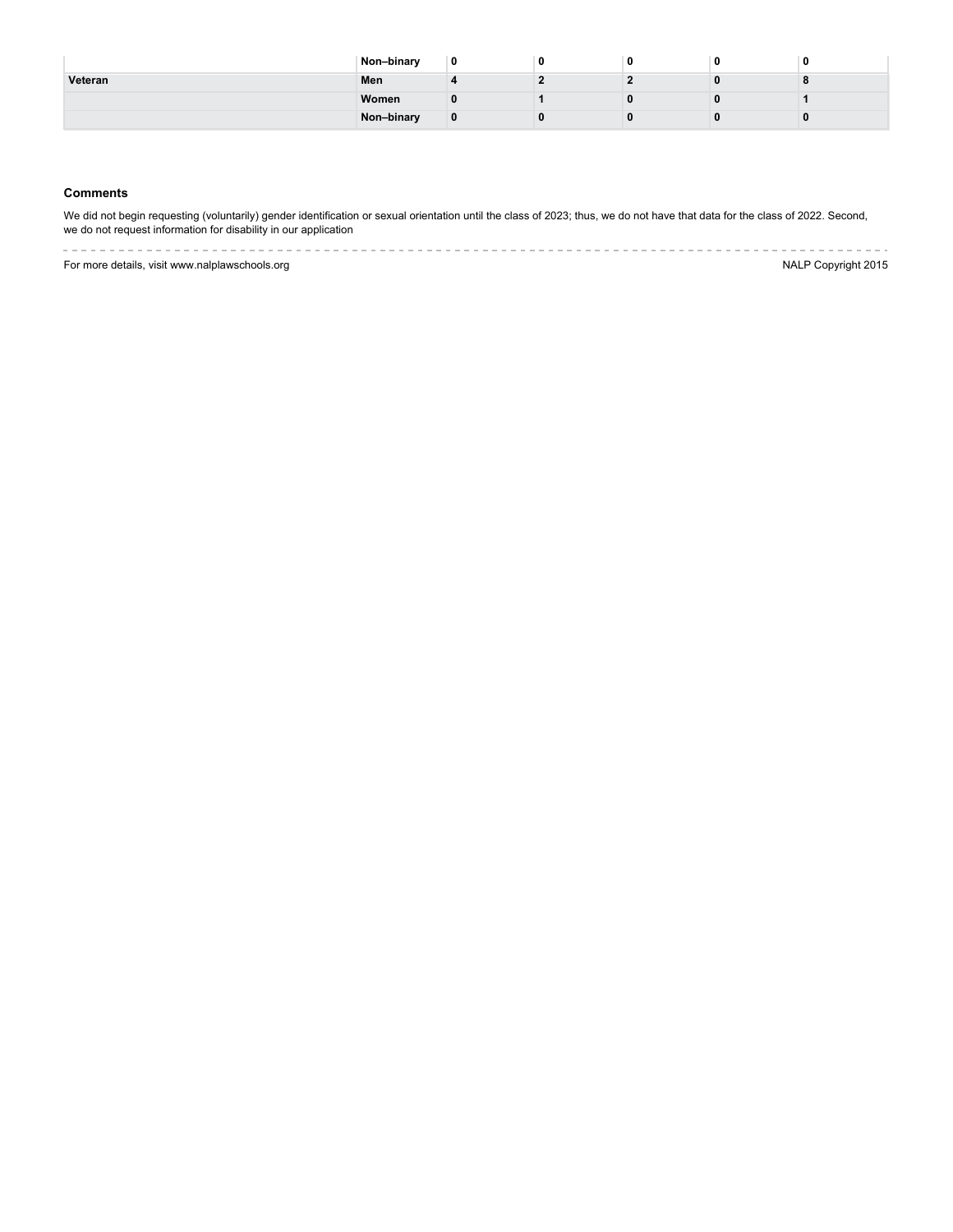|         | Non-binary | 0 |  |  |
|---------|------------|---|--|--|
| Veteran | Men        |   |  |  |
|         | Women      |   |  |  |
|         | Non-binary | 0 |  |  |

### **Comments**

We did not begin requesting (voluntarily) gender identification or sexual orientation until the class of 2023; thus, we do not have that data for the class of 2022. Second, we do not request information for disability in our application

---------------------------For more details, visit www.nalplawschools.org **NALP Copyright 2015** 

 $\label{eq:reduced} \begin{split} \mathcal{L}_{\mathcal{A}}(\mathcal{A}) & = \mathcal{L}_{\mathcal{A}}(\mathcal{A}) \mathcal{A}(\mathcal{A}) + \mathcal{L}_{\mathcal{A}}(\mathcal{A}) \mathcal{A}(\mathcal{A}) \mathcal{A}(\mathcal{A}) \end{split}$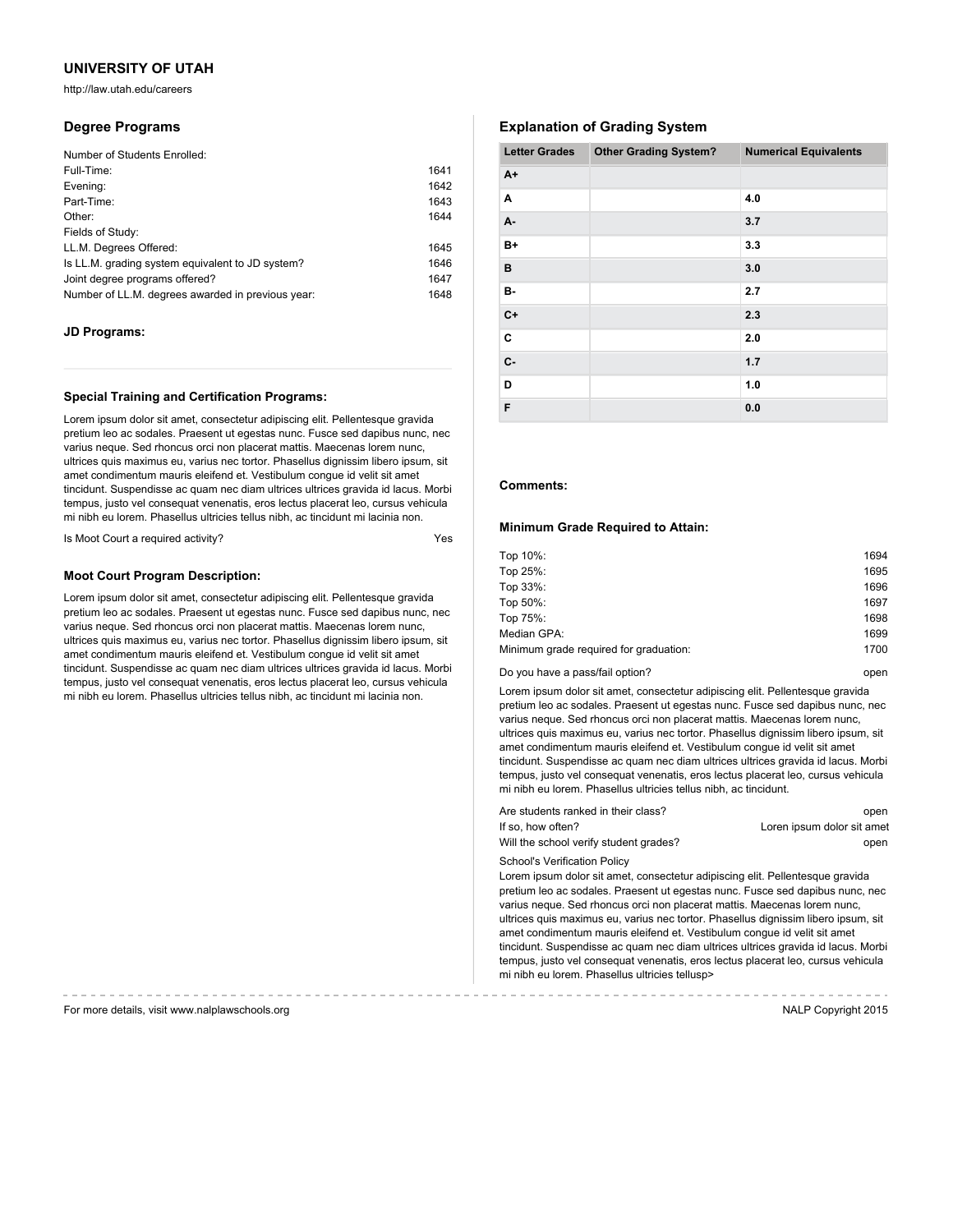http://law.utah.edu/careers

## **Degree Programs**

| Number of Students Enrolled:                      |      |
|---------------------------------------------------|------|
| Full-Time:                                        | 1641 |
| Evening:                                          | 1642 |
| Part-Time:                                        | 1643 |
| Other:                                            | 1644 |
| Fields of Study:                                  |      |
| LL.M. Degrees Offered:                            | 1645 |
| Is LL.M. grading system equivalent to JD system?  | 1646 |
| Joint degree programs offered?                    | 1647 |
| Number of LL.M. degrees awarded in previous year: | 1648 |

### **JD Programs:**

#### **Special Training and Certification Programs:**

Lorem ipsum dolor sit amet, consectetur adipiscing elit. Pellentesque gravida pretium leo ac sodales. Praesent ut egestas nunc. Fusce sed dapibus nunc, nec varius neque. Sed rhoncus orci non placerat mattis. Maecenas lorem nunc, ultrices quis maximus eu, varius nec tortor. Phasellus dignissim libero ipsum, sit amet condimentum mauris eleifend et. Vestibulum congue id velit sit amet tincidunt. Suspendisse ac quam nec diam ultrices ultrices gravida id lacus. Morbi tempus, justo vel consequat venenatis, eros lectus placerat leo, cursus vehicula mi nibh eu lorem. Phasellus ultricies tellus nibh, ac tincidunt mi lacinia non.

Is Moot Court a required activity?

### **Moot Court Program Description:**

Lorem ipsum dolor sit amet, consectetur adipiscing elit. Pellentesque gravida pretium leo ac sodales. Praesent ut egestas nunc. Fusce sed dapibus nunc, nec varius neque. Sed rhoncus orci non placerat mattis. Maecenas lorem nunc, ultrices quis maximus eu, varius nec tortor. Phasellus dignissim libero ipsum, sit amet condimentum mauris eleifend et. Vestibulum congue id velit sit amet tincidunt. Suspendisse ac quam nec diam ultrices ultrices gravida id lacus. Morbi tempus, justo vel consequat venenatis, eros lectus placerat leo, cursus vehicula mi nibh eu lorem. Phasellus ultricies tellus nibh, ac tincidunt mi lacinia non.

# **Explanation of Grading System**

| <b>Letter Grades</b> | <b>Other Grading System?</b> | <b>Numerical Equivalents</b> |
|----------------------|------------------------------|------------------------------|
| $A+$                 |                              |                              |
| Α                    |                              | 4.0                          |
| А-                   |                              | 3.7                          |
| $B+$                 |                              | 3.3                          |
| B                    |                              | 3.0                          |
| <b>B-</b>            |                              | 2.7                          |
| $C+$                 |                              | 2.3                          |
| C                    |                              | 2.0                          |
| <b>c</b> -           |                              | 1.7                          |
| D                    |                              | 1.0                          |
| F                    |                              | 0.0                          |

### **Comments:**

#### **Minimum Grade Required to Attain:**

| Top 10%:                               | 1694 |
|----------------------------------------|------|
| Top 25%:                               | 1695 |
| Top 33%:                               | 1696 |
| Top 50%:                               | 1697 |
| Top 75%:                               | 1698 |
| Median GPA:                            | 1699 |
| Minimum grade required for graduation: | 1700 |
|                                        |      |

Do you have a pass/fail option? The control open by the control open by the control open

Lorem ipsum dolor sit amet, consectetur adipiscing elit. Pellentesque gravida pretium leo ac sodales. Praesent ut egestas nunc. Fusce sed dapibus nunc, nec varius neque. Sed rhoncus orci non placerat mattis. Maecenas lorem nunc, ultrices quis maximus eu, varius nec tortor. Phasellus dignissim libero ipsum, sit amet condimentum mauris eleifend et. Vestibulum congue id velit sit amet tincidunt. Suspendisse ac quam nec diam ultrices ultrices gravida id lacus. Morbi tempus, justo vel consequat venenatis, eros lectus placerat leo, cursus vehicula mi nibh eu lorem. Phasellus ultricies tellus nibh, ac tincidunt.

| Are students ranked in their class?    | open                       |
|----------------------------------------|----------------------------|
| If so. how often?                      | Loren ipsum dolor sit amet |
| Will the school verify student grades? | open                       |

School's Verification Policy

Lorem ipsum dolor sit amet, consectetur adipiscing elit. Pellentesque gravida pretium leo ac sodales. Praesent ut egestas nunc. Fusce sed dapibus nunc, nec varius neque. Sed rhoncus orci non placerat mattis. Maecenas lorem nunc, ultrices quis maximus eu, varius nec tortor. Phasellus dignissim libero ipsum, sit amet condimentum mauris eleifend et. Vestibulum congue id velit sit amet tincidunt. Suspendisse ac quam nec diam ultrices ultrices gravida id lacus. Morbi tempus, justo vel consequat venenatis, eros lectus placerat leo, cursus vehicula mi nibh eu lorem. Phasellus ultricies tellusp>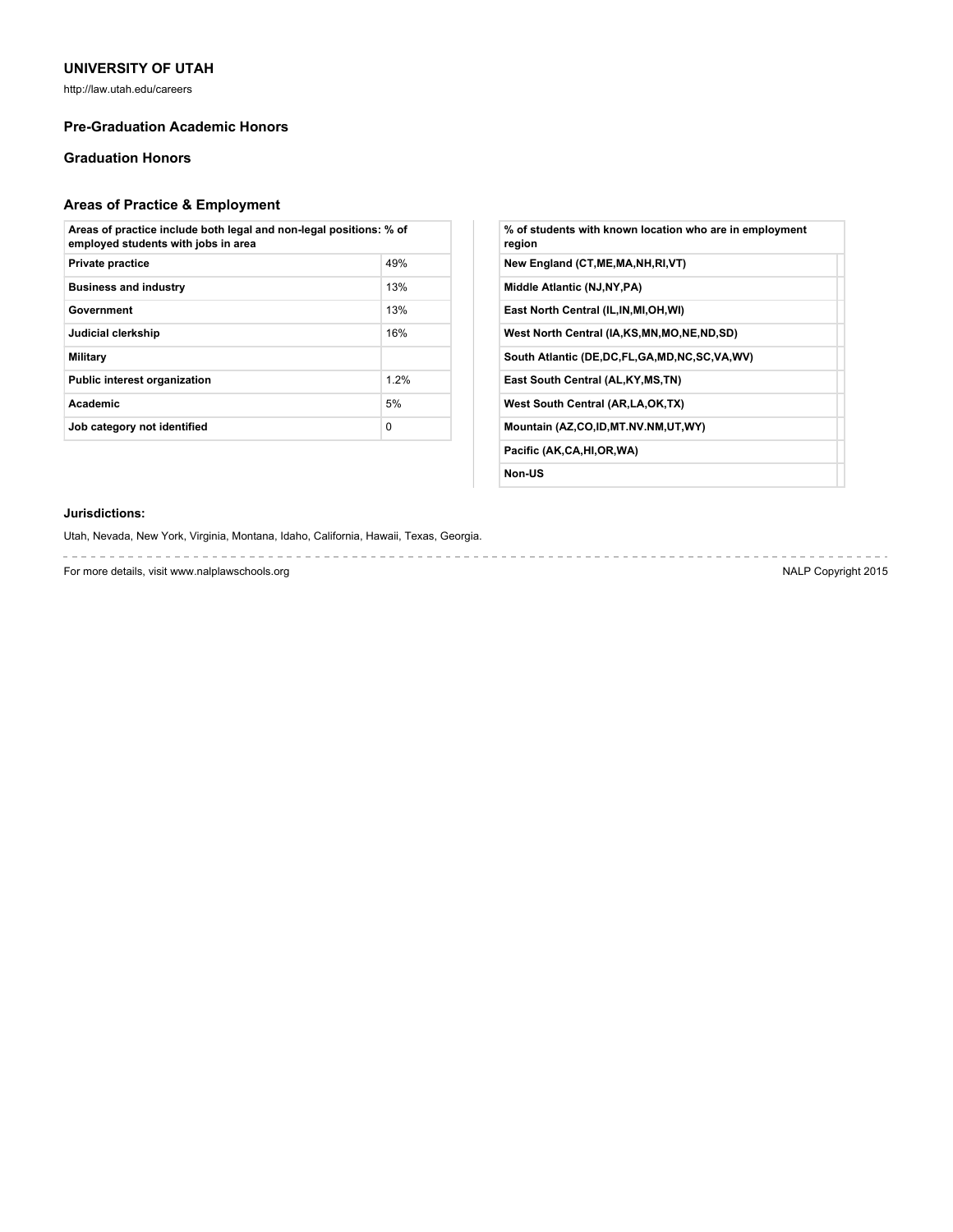http://law.utah.edu/careers

# **Pre-Graduation Academic Honors**

# **Graduation Honors**

# **Areas of Practice & Employment**

| Areas of practice include both legal and non-legal positions: % of<br>employed students with jobs in area |          |
|-----------------------------------------------------------------------------------------------------------|----------|
| <b>Private practice</b>                                                                                   | 49%      |
| <b>Business and industry</b>                                                                              | 13%      |
| Government                                                                                                | 13%      |
| Judicial clerkship                                                                                        | 16%      |
| Military                                                                                                  |          |
| <b>Public interest organization</b>                                                                       | 12%      |
| Academic                                                                                                  | 5%       |
| Job category not identified                                                                               | $\Omega$ |

| % of students with known location who are in employment<br>region |
|-------------------------------------------------------------------|
| New England (CT, ME, MA, NH, RI, VT)                              |
| Middle Atlantic (NJ, NY, PA)                                      |
| East North Central (IL, IN, MI, OH, WI)                           |
| West North Central (IA,KS,MN,MO,NE,ND,SD)                         |
| South Atlantic (DE,DC,FL,GA,MD,NC,SC,VA,WV)                       |
| East South Central (AL, KY, MS, TN)                               |
| West South Central (AR, LA, OK, TX)                               |
| Mountain (AZ,CO,ID,MT.NV.NM,UT,WY)                                |
| Pacific (AK,CA,HI,OR,WA)                                          |
| Non-US                                                            |

# **Jurisdictions:**

Utah, Nevada, New York, Virginia, Montana, Idaho, California, Hawaii, Texas, Georgia.

For more details, visit www.nalplawschools.org NALP Copyright 2015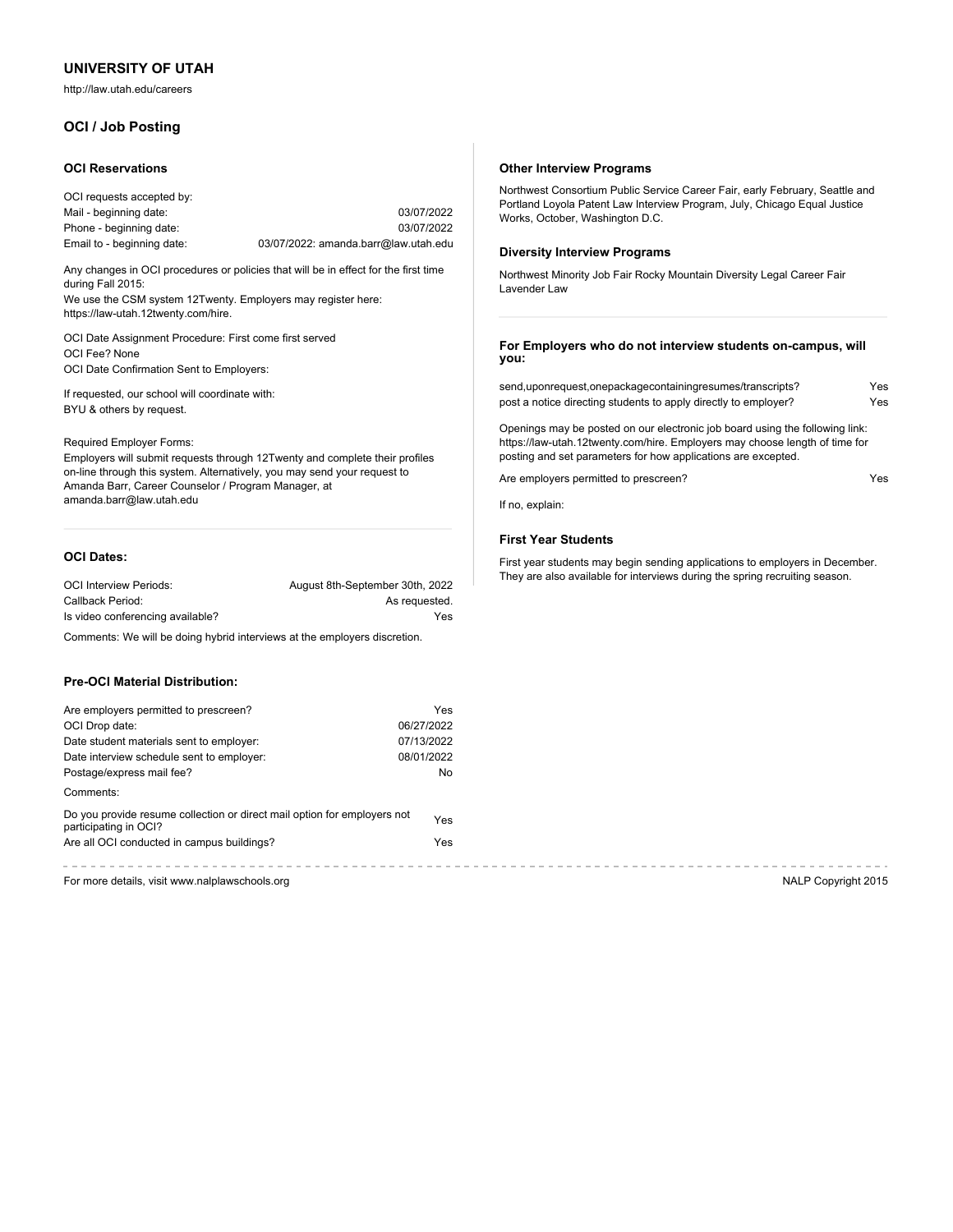http://law.utah.edu/careers

# **OCI / Job Posting**

#### **OCI Reservations**

| OCI requests accepted by:  |                                      |
|----------------------------|--------------------------------------|
| Mail - beginning date:     | 03/07/2022                           |
| Phone - beginning date:    | 03/07/2022                           |
| Email to - beginning date: | 03/07/2022: amanda.barr@law.utah.edu |

Any changes in OCI procedures or policies that will be in effect for the first time during Fall 2015:

We use the CSM system 12Twenty. Employers may register here: https://law-utah.12twenty.com/hire.

OCI Date Assignment Procedure: First come first served OCI Fee? None OCI Date Confirmation Sent to Employers:

If requested, our school will coordinate with: BYU & others by request.

#### Required Employer Forms:

Employers will submit requests through 12Twenty and complete their profiles on-line through this system. Alternatively, you may send your request to Amanda Barr, Career Counselor / Program Manager, at amanda.barr@law.utah.edu

# **OCI Dates:**

| <b>OCI Interview Periods:</b>    | August 8th-September 30th, 2022 |
|----------------------------------|---------------------------------|
| Callback Period:                 | As requested.                   |
| Is video conferencing available? | Yes                             |

Comments: We will be doing hybrid interviews at the employers discretion.

### **Pre-OCI Material Distribution:**

| Are employers permitted to prescreen?                                                             | Yes        |
|---------------------------------------------------------------------------------------------------|------------|
| OCI Drop date:                                                                                    | 06/27/2022 |
| Date student materials sent to employer:                                                          | 07/13/2022 |
| Date interview schedule sent to employer:                                                         | 08/01/2022 |
| Postage/express mail fee?                                                                         | No         |
| Comments:                                                                                         |            |
| Do you provide resume collection or direct mail option for employers not<br>participating in OCI? | Yes        |
| Are all OCI conducted in campus buildings?                                                        | Yes        |
|                                                                                                   |            |

For more details, visit www.nalplawschools.org NALP Copyright 2015

#### **Other Interview Programs**

Northwest Consortium Public Service Career Fair, early February, Seattle and Portland Loyola Patent Law Interview Program, July, Chicago Equal Justice Works, October, Washington D.C.

#### **Diversity Interview Programs**

Northwest Minority Job Fair Rocky Mountain Diversity Legal Career Fair Lavender Law

**For Employers who do not interview students on-campus, will you:**

| send,uponrequest,onepackagecontainingresumes/transcripts?       | Yes |
|-----------------------------------------------------------------|-----|
| post a notice directing students to apply directly to employer? | Yes |

Openings may be posted on our electronic job board using the following link: https://law-utah.12twenty.com/hire. Employers may choose length of time for posting and set parameters for how applications are excepted.

Are employers permitted to prescreen? The control of the employers  $Y$ es

If no, explain:

# **First Year Students**

First year students may begin sending applications to employers in December. They are also available for interviews during the spring recruiting season.